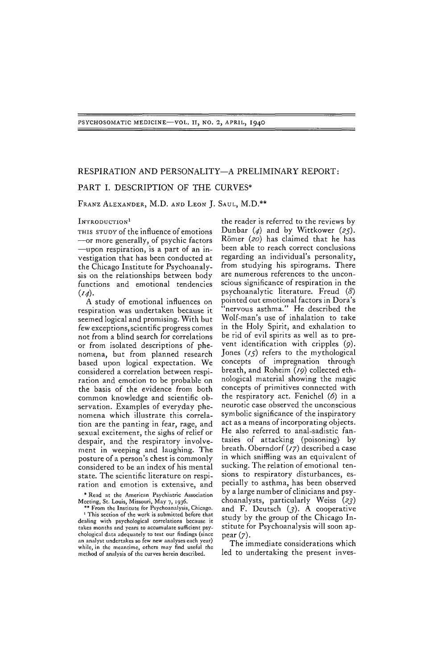# RESPIRATION AND PERSONALITY—A PRELIMINARY REPORT:

## PART I. DESCRIPTION OF THE CURVES\*

FRANZ ALEXANDER, M.D. AND LEON J. SAUL, M.D.\*\*

#### INTRODUCTION<sup>1</sup>

THIS STUDY of the influence of emotions —or more generally, of psychic factors —upon respiration, is a part of an investigation that has been conducted at the Chicago Institute for Psychoanalysis on the relationships between body functions and emotional tendencies  $(I_4)$ .

A study of emotional influences on respiration was undertaken because it seemed logical and promising. With but few exceptions,scientific progress comes not from a blind search for correlations or from isolated descriptions of phenomena, but from planned research based upon logical expectation. We considered a correlation between respiration and emotion to be probable on the basis of the evidence from both common knowledge and scientific observation. Examples of everyday phenomena which illustrate this correlation are the panting in fear, rage, and sexual excitement, the sighs of relief or despair, and the respiratory involvement in weeping and laughing. The posture of a person's chest is commonly considered to be an index of his mental state. The scientific literature on respiration and emotion is extensive, and

\* Read at the American Psychiatric Association Meeting, St. Louis, Missouri, May 7, 1936.<br>\*\* From the Institute for Psychoanalysis, Chicago.<br>1. This seguion of the work is submitted before that

<sup>1</sup> This section of the work is submitted before that dealing with psychological correlations because it takes months and years to accumulate sufficient psychological data adequately to test our findings (since an analyst undertakes so few new analyses each year) while, in the meantime, others may find useful the method of analysis of the curves herein described.

the reader is referred to the reviews by Dunbar *(4)* and by Wittkower (25). Römer (20) has claimed that he has been able to reach correct conclusions regarding an individual's personality, from studying his spirograms. There are numerous references to the unconscious significance of respiration in the psychoanalytic literature. Freud *(8)* pointed out emotional factors in Dora's 'nervous asthma." He described the Wolf-man's use of inhalation to take in the Holy Spirit, and exhalation to be rid of evil spirits as well as to prevent identification with cripples (9). Jones  $(15)$  refers to the mythological concepts of impregnation through breath, and Roheim  $(79)$  collected ethnological material showing the magic concepts of primitives connected with the respiratory act. Fenichel *(6)* in a neurotic case observed the unconscious symbolic significance of the inspiratory act as a means of incorporating objects. He also referred to anal-sadistic fantasies of attacking (poisoning) by breath. Oberndorf  $(77)$  described a case<br>in which sniffling was an equivalent of sucking. The relation of emotional tensions to respiratory disturbances, especially to asthma, has been observed by a large number of clinicians and psychoanalysts, particularly Weiss *(2j)*  $\frac{1}{2}$  and F. Deutsch (3). A cooperative study by the group of the Chicago Institute for Psychoanalysis will soon appear (7).

The immediate considerations which led to undertaking the present inves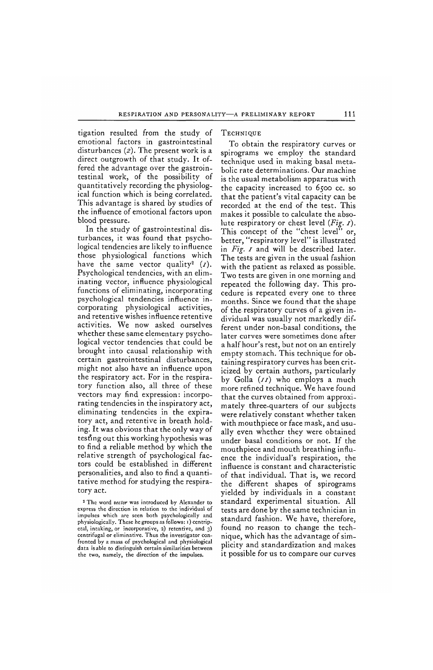tigation resulted from the study of emotional factors in gastrointestinal disturbances *(2).* The present work is a direct outgrowth of that study. It offered the advantage over the gastrointestinal work, of the possibility of quantitatively recording the physiological function which is being correlated. This advantage is shared by studies of the influence of emotional factors upon blood pressure.

In the study of gastrointestinal disturbances, it was found that psychological tendencies are likely to influence those physiological functions which have the same vector quality<sup>2</sup>  $(I)$ . Psychological tendencies, with an eliminating vector, influence physiological functions of eliminating, incorporating psychological tendencies influence incorporating physiological activities, and retentive wishes influence retentive activities. We now asked ourselves whether these same elementary psychological vector tendencies that could be brought into causal relationship with certain gastrointestinal disturbances, might not also have an influence upon the respiratory act. For in the respiratory function also, all three of these vectors may find expression: incorporating tendencies in the inspiratory act, eliminating tendencies in the expiratory act, and retentive in breath holding. It was obvious that the only way of test'ing out this working hypothesis was to find a reliable method by which the relative strength of psychological factors could be established in different personalities, and also to find a quantitative method for studying the respiratory act.

**TECHNIQUE** 

To obtain the respiratory curves or spirograms we employ the standard technique used in making basal metabolic rate determinations. Our machine is the usual metabolism apparatus with the capacity increased to 6500 cc. so that the patient's vital capacity can be recorded at the end of the test. This makes it possible to calculate the absolute respiratory or chest level (*Fig. 1*). This concept of the "chest level" or, better, "respiratory level" is illustrated in *Fig. 1* and will be described later. The tests are given in the usual fashion with the patient as relaxed as possible. Two tests are given in one morning and repeated the following day. This procedure is repeated every one to three months. Since we found that the shape of the respiratory curves of a given individual was usually not markedly different under non-basal conditions, the later curves were sometimes done after a half hour's rest, but not on an entirely empty stomach. This technique for obtaining respiratory curves has been criticized by certain authors, particularly by Golla  $(II)$  who employs a much more refined technique. We have found that the curves obtained from approximately three-quarters of our subjects were relatively constant whether taken with mouthpiece or face mask, and usually even whether they were obtained under basal conditions or not. If the mouthpiece and mouth breathing influence the individual's respiration, the influence is constant and characteristic of that individual. That is, we record the different shapes of spirograms yielded by individuals in a constant standard experimental situation. All tests are done by the same technician in standard fashion. We have, therefore, found no reason to change the tech nique, which has the advantage of simplicity and standardization and makes it possible for us to compare our curves

<sup>2</sup> The word *vector* was introduced by Alexander to express the direction in relation to the individual of impulses which are seen both psychologically and physiologically. These he groups as follows: i) centripetal, intaking, or incorporative, 2) retentive, and 3) centrifugal or eliminative. Thus the investigator confronted by a mass of psychological and physiological data is able to distinguish certain similarities between the two, namely, the direction of the impulses.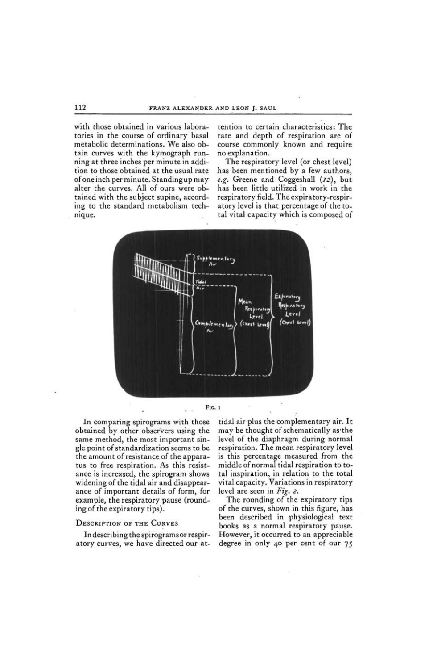with those obtained in various laboratories in the course of ordinary basal metabolic determinations. We also ob tain curves with the kymograph running at three inches per minute in addition to those obtained at the usual rate of one inch per minute. Standingupmay alter the curves. All of ours were obtained with the subject supine, accord ing to the standard metabolism tech nique.

tention to certain characteristics: The rate and depth of respiration are of course commonly known and require no explanation.

The respiratory level (or chest level) has been mentioned by a few authors, *e.g.* Greene and Coggeshall *{12),* but has been little utilized in work in the respiratory field. The expiratory-respiratory level is that percentage of the total vital capacity which is composed of



FIG. 1

In comparing spirograms with those obtained by other observers using the same method, the most important single point of standardization seems to be the amount of resistance of the apparatus to free respiration. As this resistance is increased, the spirogram shows widening of the tidal air and disappearance of important details of form, for example, the respiratory pause (rounding of the expiratory tips).

#### DESCRIPTION OF THE CURVES

In describing the spirograms or respiratory curves, we have directed our attidal air plus the complementary air. It may be thought of schematically as'the level of the diaphragm during normal respiration. The mean respiratory level is this percentage measured from the middle of normal tidal respiration to to tal inspiration, in relation to the total vital capacity. Variations in respiratory level are seen in *Fig. 2.*

The rounding of the expiratory tips of the curves, shown in this figure, has been described in physiological text books as a normal respiratory pause. However, it occurred to an appreciable degree in only 40 per cent of our 75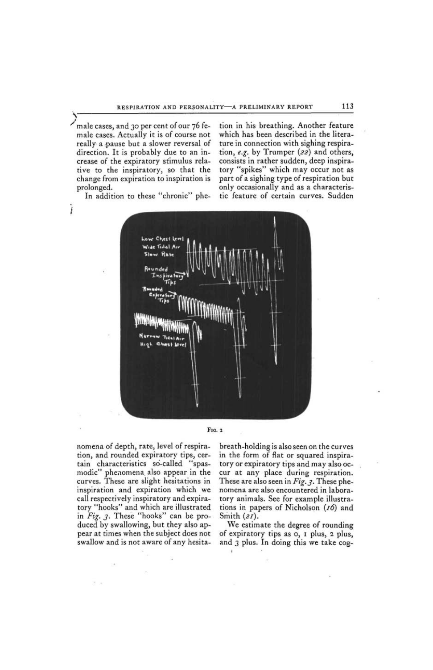male cases, and 30 per cent of our 76 female cases. Actually it is of course not really a pause but a slower reversal of direction. It is probably due to an in crease of the expiratory stimulus relative to the inspiratory, so that the change from expiration to inspiration is • prolonged.

In addition to these "chronic" phe-

Ï

tion in his breathing. Another feature which has been described in the literature in connection with sighing respira tion, *e.g.* by Trumper *(22)* and others, consists in rather sudden, deep inspiratory "spikes" which may occur not as part of a sighing type of respiration but only occasionally and as a characteris tic feature of certain curves. Sudden



Fio. *2*

nomena of depth, rate, level of respiration, and rounded expiratory tips, cer tain characteristics so-called "spasmodic" phenomena, also appear in the curves. These are slight hesitations in inspiration and expiration which we call respectively inspiratory and expiratory "hooks" and which are illustrated in *Fig.* 3. These "hooks" can be produced by swallowing, but they also appear at times when the subject does not swallow and is not aware of any hesitabreath-holding is also seen on the curves in the form of flat or squared inspiratory or expiratory tips and may also occur at any place during respiration. These are also seen in *Fig.* 3. These phenomena are also encountered in laboratory animals. See for example illustrations in papers of Nicholson *{16)* and Smith *(21).*

We estimate the degree of rounding of expiratory tips as o, 1 plus, *1* plus, and 3 plus. In doing this we take cog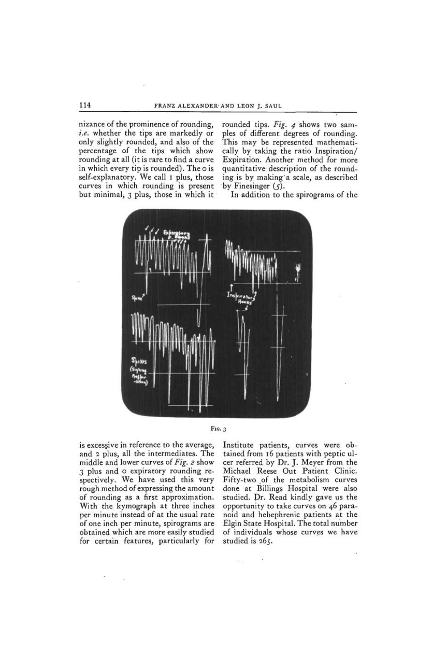nizance of the prominence of rounding, *i.e.* whether the tips are markedly or only slightly rounded, and also of the percentage of the tips which show rounding at all (it is rare to find a curve in which every tip is rounded). The o is self-explanatory. We call I plus, those curves in which rounding is present but minimal, 3 plus, those in which it rounded tips. *Fig. 4* shows two samples of different degrees of rounding. This may be represented mathematically by taking the ratio Inspiration/ Expiration. Another method for more quantitative description of the rounding is by making'a scale, as described by Finesinger (5).

In addition to the spirograms of the



#### Fio. 3

and is

is excessive in reference to the average, and *1* plus, all the intermediates. The middle and lower curves of *Fig. 2* show 3 plus and o expiratory rounding respectively. We have used this very rough method of expressing the amount of rounding as a first approximation. With the kymograph at three inches per minute instead of at the usual rate of one inch per minute, spirograms are obtained which are more easily studied for certain features, particularly for Institute patients, curves were obtained from 16 patients with peptic ulcer referred by Dr. J. Meyer from the Michael Reese Out Patient Clinic. Fifty-two of the metabolism curves done at Billings Hospital were also studied. Dr. Read kindly gave us the opportunity to take curves on 46 paranoid and hebephrenic patients at the Elgin State Hospital. The total number of individuals whose curves we have studied is 265.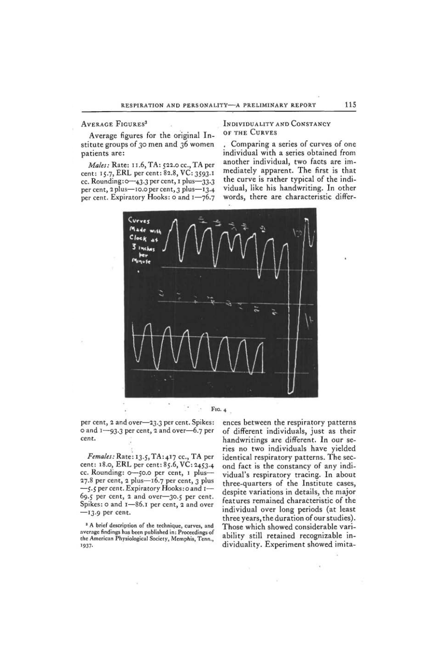#### AVERAGE FIGURES<sup>3</sup>

Average figures for the original Institute groups of 30 men and 36 women patients are:

*Males:* Rate: 11.6, TA: 522.0 cc, TA per cent: 15.7, ERL per cent: 82.8, VC: 3593.1 cc.Rounding:o—43.3 per cent, 1 plus—*33.3* per cent, 2 plus—10.0 per cent, 3 plus—13.4 per cent. Expiratory Hooks: 0 and 1-76.7

INDIVIDUALITY AND CONSTANCY OF THE CURVES

, Comparing a series of curves of one individual with a series obtained from another individual, two facts are immediately apparent. The first is that the curve is rather typical of the individual, like his handwriting. In other words, there are characteristic differ-



 $Fig. 4$ 

per cent, 2 and over—23.3 per cent. Spikes: o and 1—93.3 per cent, 2 and over—6.7 per cent.

*Females*: Rate: 13.5, TA: 417 cc., TA per cent: 18.0, ERL per cent: 85.6, VC: 2453.4 cc. Rounding: o—50.0 per cent, 1 plus— 27.8 per cent, 2 plus—16.7 per cent, 3 plus —5.5 per cent. Expiratory Hooks: o and i-— 69.5 per cent, 2 and over—30.5 per cent. Spikes: o and 1—86.1 per cent, 2 and over —13.9 per cent.

<sup>a</sup> A brief description of the technique, curves, and average findings has been published in: Proceedings of the American Physiological Society, Memphis, Tenn., 1937ences between the respiratory patterns of different individuals, just as their handwritings are different. In our series no two individuals have yielded identical respiratory patterns. The second fact is the constancy of any individual's respiratory tracing. In about three-quarters of the Institute cases, despite variations in details, the major features remained characteristic of the individual over long periods (at least three years, the duration of our studies). Those which showed considerable variability still retained recognizable individuality. Experiment showed imita-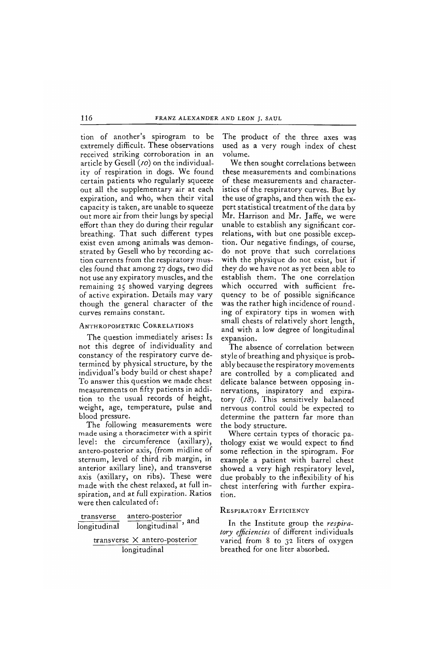tion of another's spirogram to be extremely difficult. These observations received striking corroboration in an article by Gesell  $(10)$  on the individuality of respiration in dogs. We found certain patients who regularly squeeze out all the supplementary air at each expiration, and who, when their vital capacity is taken, are unable to squeeze out more air from their lungs by special effort than they do during their regular breathing. That such different types exist even among animals was demonstrated by Gesell who by recording action currents from the respiratory muscles found that among 27 dogs, two did not use any expiratory muscles, and the remaining 25 showed varying degrees of active expiration. Details may vary though the general character of the curves remains constant.

#### ANTHROPOMETRIC CORRELATIONS

The question immediately arises: Is not this degree of individuality and constancy of the respiratory curve determined by physical structure, by the individual's body build or chest shape? To answer this question we made chest measurements on fifty patients in addition to the usual records of height, weight, age, temperature, pulse and blood pressure.

The following measurements were made using a thoracimeter with a spirit level: the circumference (axillary), antero-posterior axis, (from midline of sternum, level of third rib margin, in anterior axillary line), and transverse axis (axillary, on ribs). These were made with the chest relaxed, at full inspiration, and at full expiration. Ratios were then calculated of:

transverse antero-posterior  $\frac{1}{\text{longitudinal}}$ , and longitudinal

$$
\frac{\text{transverse} \times \text{antero-posterior}}{\text{longitudinal}}
$$

The product of the three axes was used as a very rough index of chest volume.

We then sought correlations between these measurements and combinations of these measurements and characteristics of the respiratory curves. But by the use of graphs, and then with the expert statistical treatment of the data by Mr. Harrison and Mr. Jaffe, we were unable to establish any significant correlations, with but one possible exception. Our negative findings, of course, do not prove that such correlations with the physique do not exist, but if they do we have not as yet been able to establish them. The one correlation which occurred with sufficient frequency to be of possible significance was the rather high incidence of rounding of expiratory tips in women with small chests of relatively short length, and with a low degree of longitudinal expansion.

The absence of correlation between style of breathing and physique is probablybecausethe respiratory movements are controlled by a complicated and delicate balance between opposing innervations, inspiratory and expiratory *(18).* This sensitively balanced nervous control could be expected to determine the pattern far more than the body structure.

Where certain types of thoracic pathology exist we would expect to find some reflection in the spirogram. For example a patient with barrel chest showed a very high respiratory level, due probably to the inflexibility of his chest interfering with further expiration.

#### RESPIRATORY EFFICIENCY

In the Institute group the *respiratory efficiencies* of different individuals varied from 8 to 32 liters of oxygen breathed for one liter absorbed.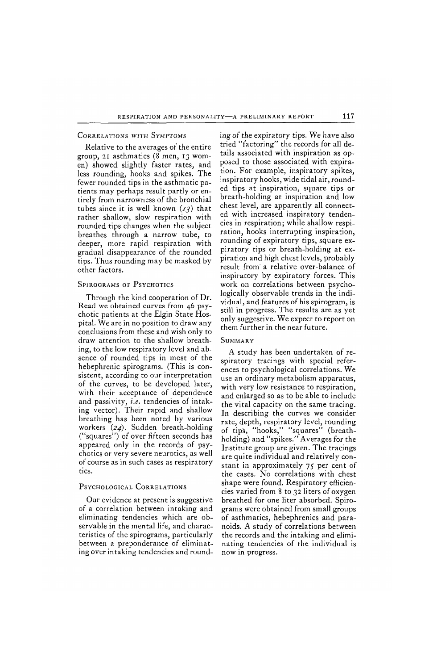#### CORRELATIONS WITH SYMPTOMS

Relative to the averages of the entire group, 21 asthmatics (8 men, 13 women) showed slightly faster rates, and less rounding, hooks and spikes. The fewer rounded tips in the asthmatic patients may perhaps result partly or entirely from narrowness of the bronchial tubes since it is well known  $(I<sub>3</sub>)$  that rather shallow, slow respiration with rounded tips changes when the subject breathes through a narrow tube, to deeper, more rapid respiration with gradual disappearance of the rounded tips. Thus rounding may be masked by other factors.

#### SPIROGRAMS OF PSYCHOTICS

Through the kind cooperation of Dr. Read we obtained curves from 46 psychotic patients at the Elgin State Hospital. We are in no position to draw any conclusions from these and wish only to draw attention to the shallow breathing, to the low respiratory level and absence of rounded tips in most of the hebephrenic spirograms. (This is consistent, according to our interpretation of the curves, to be developed later, with their acceptance of dependence and passivity, *i.e.* tendencies of intaking vector). Their rapid and shallow breathing has been noted by various workers *(24).* Sudden breath-holding ("squares") of over fifteen seconds has appeared only in the records of psychotics or very severe neurotics, as well of course as in such cases as respiratory tics.

### PSYCHOLOGICAL CORRELATIONS

Our evidence at present is suggestive of a correlation between intaking and eliminating tendencies which are observable in the mental life, and charac teristics of the spirograms, particularly between a preponderance of eliminating over intaking tendencies and rounding of the expiratory tips. We have also tried "factoring" the records for all details associated with inspiration as op posed to those associated with expiration. For example, inspiratory spikes, inspiratory hooks, wide tidal air, rounded tips at inspiration, square tips or breath-holding at inspiration and low chest level, are apparently all connected with increased inspiratory tendencies in respiration; while shallow respiration, hooks interrupting inspiration, rounding of expiratory tips, square expiratory tips or breath-holding at expiration and high chest levels, probably result from' a relative over-balance of inspiratory by expiratory forces. This work on correlations between psycho logically observable trends in the individual, and features of his spirogram, is still in progress. The results are as yet only suggestive. We expect to report on them further in the near future.

#### **SUMMARY**

A study has been undertaken of respiratory tracings with special references to psychological correlations. We use an ordinary metabolism apparatus, with very low resistance to respiration, and enlarged so as to be able to include the vital capacity on the same tracing. In describing the curves we consider rate, depth, respiratory level, rounding of tips, "hooks," "squares" (breathholding) and "spikes." Averages for the Institute group are given. The tracings are quite individual and relatively constant in approximately 75 per cent of the cases. No correlations with chest shape were found. Respiratory efficiencies varied from 8 to 32 liters of oxygen breathed for one liter absorbed. Spirograms were obtained from small groups of asthmatics, hebephrenics and para noids. A study of correlations between the records and the intaking and eliminating tendencies of the individual is now in progress.